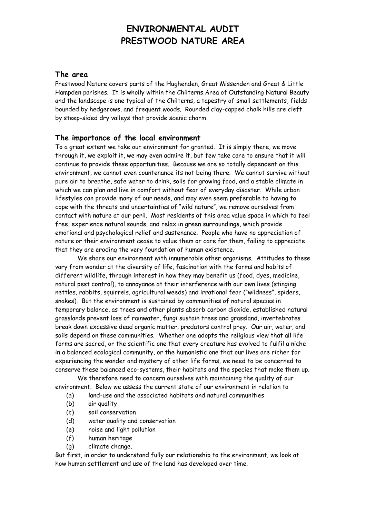# **ENVIRONMENTAL AUDIT PRESTWOOD NATURE AREA**

#### **The area**

Prestwood Nature covers parts of the Hughenden, Great Missenden and Great & Little Hampden parishes. It is wholly within the Chilterns Area of Outstanding Natural Beauty and the landscape is one typical of the Chilterns, a tapestry of small settlements, fields bounded by hedgerows, and frequent woods. Rounded clay-capped chalk hills are cleft by steep-sided dry valleys that provide scenic charm.

#### **The importance of the local environment**

To a great extent we take our environment for granted. It is simply there, we move through it, we exploit it, we may even admire it, but few take care to ensure that it will continue to provide these opportunities. Because we are so totally dependent on this environment, we cannot even countenance its not being there. We cannot survive without pure air to breathe, safe water to drink, soils for growing food, and a stable climate in which we can plan and live in comfort without fear of everyday disaster. While urban lifestyles can provide many of our needs, and may even seem preferable to having to cope with the threats and uncertainties of "wild nature", we remove ourselves from contact with nature at our peril. Most residents of this area value space in which to feel free, experience natural sounds, and relax in green surroundings, which provide emotional and psychological relief and sustenance. People who have no appreciation of nature or their environment cease to value them or care for them, failing to appreciate that they are eroding the very foundation of human existence.

We share our environment with innumerable other organisms. Attitudes to these vary from wonder at the diversity of life, fascination with the forms and habits of different wildlife, through interest in how they may benefit us (food, dyes, medicine, natural pest control), to annoyance at their interference with our own lives (stinging nettles, rabbits, squirrels, agricultural weeds) and irrational fear ("wildness", spiders, snakes). But the environment is sustained by communities of natural species in temporary balance, as trees and other plants absorb carbon dioxide, established natural grasslands prevent loss of rainwater, fungi sustain trees and grassland, invertebrates break down excessive dead organic matter, predators control prey. Our air, water, and soils depend on these communities. Whether one adopts the religious view that all life forms are sacred, or the scientific one that every creature has evolved to fulfil a niche in a balanced ecological community, or the humanistic one that our lives are richer for experiencing the wonder and mystery of other life forms, we need to be concerned to conserve these balanced eco-systems, their habitats and the species that make them up.

We therefore need to concern ourselves with maintaining the quality of our environment. Below we assess the current state of our environment in relation to

- (a) land-use and the associated habitats and natural communities
- (b) air quality
- (c) soil conservation
- (d) water quality and conservation
- (e) noise and light pollution
- (f) human heritage
- (g) climate change.

But first, in order to understand fully our relationship to the environment, we look at how human settlement and use of the land has developed over time.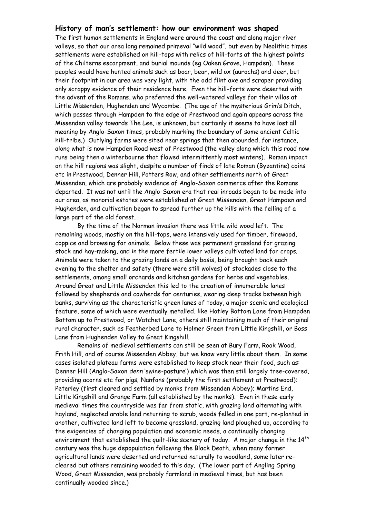#### **History of man's settlement: how our environment was shaped**

The first human settlements in England were around the coast and along major river valleys, so that our area long remained primeval "wild wood", but even by Neolithic times settlements were established on hill-tops with relics of hill-forts at the highest points of the Chilterns escarpment, and burial mounds (eg Oaken Grove, Hampden). These peoples would have hunted animals such as boar, bear, wild ox (aurochs) and deer, but their footprint in our area was very light, with the odd flint axe and scraper providing only scrappy evidence of their residence here. Even the hill-forts were deserted with the advent of the Romans, who preferred the well-watered valleys for their villas at Little Missenden, Hughenden and Wycombe. (The age of the mysterious Grim's Ditch, which passes through Hampden to the edge of Prestwood and again appears across the Missenden valley towards The Lee, is unknown, but certainly it seems to have lost all meaning by Anglo-Saxon times, probably marking the boundary of some ancient Celtic hill-tribe.) Outlying farms were sited near springs that then abounded, for instance, along what is now Hampden Road west of Prestwood (the valley along which this road now runs being then a winterbourne that flowed intermittently most winters). Roman impact on the hill regions was slight, despite a number of finds of late Roman (Byzantine) coins etc in Prestwood, Denner Hill, Potters Row, and other settlements north of Great Missenden, which are probably evidence of Anglo-Saxon commerce after the Romans departed. It was not until the Anglo-Saxon era that real inroads began to be made into our area, as manorial estates were established at Great Missenden, Great Hampden and Hughenden, and cultivation began to spread further up the hills with the felling of a large part of the old forest.

By the time of the Norman invasion there was little wild wood left. The remaining woods, mostly on the hill-tops, were intensively used for timber, firewood, coppice and browsing for animals. Below these was permanent grassland for grazing stock and hay-making, and in the more fertile lower valleys cultivated land for crops. Animals were taken to the grazing lands on a daily basis, being brought back each evening to the shelter and safety (there were still wolves) of stockades close to the settlements, among small orchards and kitchen gardens for herbs and vegetables. Around Great and Little Missenden this led to the creation of innumerable lanes followed by shepherds and cowherds for centuries, wearing deep tracks between high banks, surviving as the characteristic green lanes of today, a major scenic and ecological feature, some of which were eventually metalled, like Hotley Bottom Lane from Hampden Bottom up to Prestwood, or Watchet Lane, others still maintaining much of their original rural character, such as Featherbed Lane to Holmer Green from Little Kingshill, or Boss Lane from Hughenden Valley to Great Kingshill.

Remains of medieval settlements can still be seen at Bury Farm, Rook Wood, Frith Hill, and of course Missenden Abbey, but we know very little about them. In some cases isolated plateau farms were established to keep stock near their food, such as: Denner Hill (Anglo-Saxon *denn* 'swine-pasture') which was then still largely tree-covered, providing acorns etc for pigs; Nanfans (probably the first settlement at Prestwood); Peterley (first cleared and settled by monks from Missenden Abbey); Martins End, Little Kingshill and Grange Farm (all established by the monks). Even in these early medieval times the countryside was far from static, with grazing land alternating with hayland, neglected arable land returning to scrub, woods felled in one part, re-planted in another, cultivated land left to become grassland, grazing land ploughed up, according to the exigencies of changing population and economic needs, a continually changing environment that established the quilt-like scenery of today. A major change in the  $14<sup>th</sup>$ century was the huge depopulation following the Black Death, when many former agricultural lands were deserted and returned naturally to woodland, some later recleared but others remaining wooded to this day. (The lower part of Angling Spring Wood, Great Missenden, was probably farmland in medieval times, but has been continually wooded since.)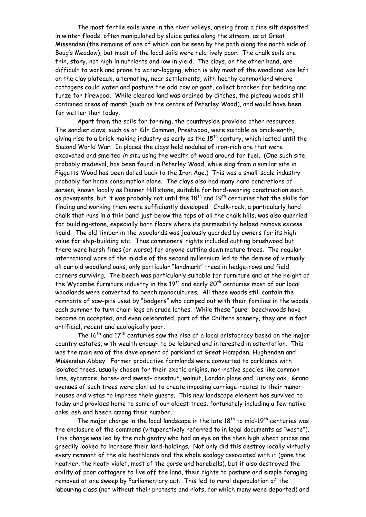The most fertile soils were in the river valleys, arising from a fine silt deposited in winter floods, often manipulated by sluice gates along the stream, as at Great Missenden (the remains of one of which can be seen by the path along the north side of Boug's Meadow), but most of the local soils were relatively poor. The chalk soils are thin, stony, not high in nutrients and low in yield. The clays, on the other hand, are difficult to work and prone to water-logging, which is why most of the woodland was left on the clay plateaux, alternating, near settlements, with heathy commonland where cottagers could water and pasture the odd cow or goat, collect bracken for bedding and furze for firewood. While cleared land was drained by ditches, the plateau woods still contained areas of marsh (such as the centre of Peterley Wood), and would have been far wetter than today.

Apart from the soils for farming, the countryside provided other resources. The sandier clays, such as at Kiln Common, Prestwood, were suitable as brick-earth, giving rise to a brick-making industry as early as the  $15<sup>th</sup>$  century, which lasted until the Second World War. In places the clays held nodules of iron-rich ore that were excavated and smelted *in situ* using the wealth of wood around for fuel. (One such site, probably medieval, has been found in Peterley Wood, while slag from a similar site in Piggotts Wood has been dated back to the Iron Age.) This was a small-scale industry probably for home consumption alone. The clays also had many hard concretions of sarsen, known locally as Denner Hill stone, suitable for hard-wearing construction such as pavements, but it was probably not until the  $18<sup>th</sup>$  and  $19<sup>th</sup>$  centuries that the skills for finding and working them were sufficiently developed. Chalk-rock, a particularly hard chalk that runs in a thin band just below the tops of all the chalk hills, was also quarried for building-stone, especially barn floors where its permeability helped remove excess liquid. The old timber in the woodlands was jealously guarded by owners for its high value for ship-building etc. Thus commoners' rights included cutting brushwood but there were harsh fines (or worse) for anyone cutting down mature trees. The regular international wars of the middle of the second millennium led to the demise of virtually all our old woodland oaks, only particular "landmark" trees in hedge-rows and field corners surviving. The beech was particularly suitable for furniture and at the height of the Wycombe furniture industry in the  $19<sup>th</sup>$  and early  $20<sup>th</sup>$  centuries most of our local woodlands were converted to beech monocultures. All these woods still contain the remnants of saw-pits used by "bodgers" who camped out with their families in the woods each summer to turn chair-legs on crude lathes. While these "pure" beechwoods have become an accepted, and even celebrated, part of the Chiltern scenery, they are in fact artificial, recent and ecologically poor.

The  $16<sup>th</sup>$  and  $17<sup>th</sup>$  centuries saw the rise of a local aristocracy based on the major country estates, with wealth enough to be leisured and interested in ostentation. This was the main era of the development of parkland at Great Hampden, Hughenden and Missenden Abbey. Former productive farmlands were converted to parklands with isolated trees, usually chosen for their exotic origins, non-native species like common lime, sycamore, horse- and sweet- chestnut, walnut, London plane and Turkey oak. Grand avenues of such trees were planted to create imposing carriage-routes to their manorhouses and vistas to impress their guests. This new landscape element has survived to today and provides home to some of our oldest trees, fortunately including a few native oaks, ash and beech among their number.

The major change in the local landscape in the late  $18<sup>th</sup>$  to mid-19<sup>th</sup> centuries was the enclosure of the commons (vituperatively referred to in legal documents as "waste"). This change was led by the rich gentry who had an eye on the then high wheat prices and greedily looked to increase their land-holdings. Not only did this destroy locally virtually every remnant of the old heathlands and the whole ecology associated with it (gone the heather, the heath violet, most of the gorse and harebells), but it also destroyed the ability of poor cottagers to live off the land, their rights to pasture and simple foraging removed at one sweep by Parliamentary act. This led to rural depopulation of the labouring class (not without their protests and riots, for which many were deported) and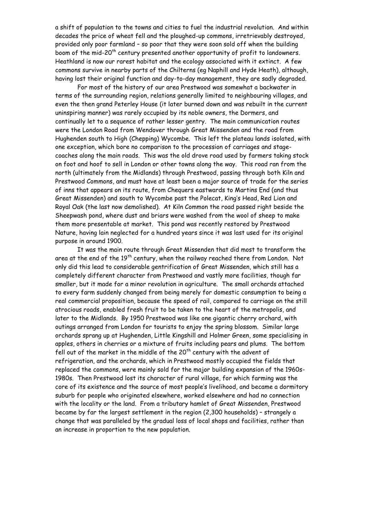a shift of population to the towns and cities to fuel the industrial revolution. And within decades the price of wheat fell and the ploughed-up commons, irretrievably destroyed, provided only poor farmland – so poor that they were soon sold off when the building boom of the mid-20<sup>th</sup> century presented another opportunity of profit to landowners. Heathland is now our rarest habitat and the ecology associated with it extinct. A few commons survive in nearby parts of the Chilterns (eg Naphill and Hyde Heath), although, having lost their original function and day-to-day management, they are sadly degraded.

For most of the history of our area Prestwood was somewhat a backwater in terms of the surrounding region, relations generally limited to neighbouring villages, and even the then grand Peterley House (it later burned down and was rebuilt in the current uninspiring manner) was rarely occupied by its noble owners, the Dormers, and continually let to a sequence of rather lesser gentry. The main communication routes were the London Road from Wendover through Great Missenden and the road from Hughenden south to High (Chepping) Wycombe. This left the plateau lands isolated, with one exception, which bore no comparison to the procession of carriages and stagecoaches along the main roads. This was the old drove road used by farmers taking stock on foot and hoof to sell in London or other towns along the way. This road ran from the north (ultimately from the Midlands) through Prestwood, passing through both Kiln and Prestwood Commons, and must have at least been a major source of trade for the series of inns that appears on its route, from Chequers eastwards to Martins End (and thus Great Missenden) and south to Wycombe past the Polecat, King's Head, Red Lion and Royal Oak (the last now demolished). At Kiln Common the road passed right beside the Sheepwash pond, where dust and briars were washed from the wool of sheep to make them more presentable at market. This pond was recently restored by Prestwood Nature, having lain neglected for a hundred years since it was last used for its original purpose in around 1900.

It was the main route through Great Missenden that did most to transform the area at the end of the 19<sup>th</sup> century, when the railway reached there from London. Not only did this lead to considerable gentrification of Great Missenden, which still has a completely different character from Prestwood and vastly more facilities, though far smaller, but it made for a minor revolution in agriculture. The small orchards attached to every farm suddenly changed from being merely for domestic consumption to being a real commercial proposition, because the speed of rail, compared to carriage on the still atrocious roads, enabled fresh fruit to be taken to the heart of the metropolis, and later to the Midlands. By 1950 Prestwood was like one gigantic cherry orchard, with outings arranged from London for tourists to enjoy the spring blossom. Similar large orchards sprang up at Hughenden, Little Kingshill and Holmer Green, some specialising in apples, others in cherries or a mixture of fruits including pears and plums. The bottom fell out of the market in the middle of the  $20<sup>th</sup>$  century with the advent of refrigeration, and the orchards, which in Prestwood mostly occupied the fields that replaced the commons, were mainly sold for the major building expansion of the 1960s-1980s. Then Prestwood lost its character of rural village, for which farming was the core of its existence and the source of most people's livelihood, and became a dormitory suburb for people who originated elsewhere, worked elsewhere and had no connection with the locality or the land. From a tributary hamlet of Great Missenden, Prestwood became by far the largest settlement in the region (2,300 households) – strangely a change that was paralleled by the gradual loss of local shops and facilities, rather than an increase in proportion to the new population.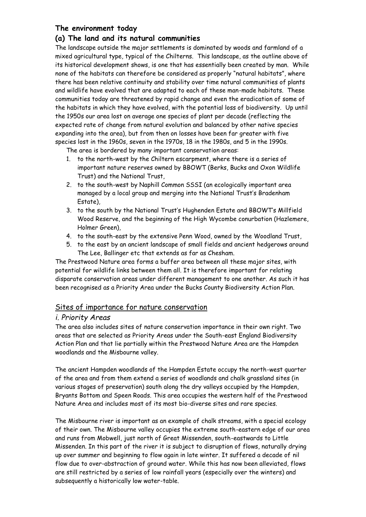# **The environment today**

### **(a) The land and its natural communities**

The landscape outside the major settlements is dominated by woods and farmland of a mixed agricultural type, typical of the Chilterns. This landscape, as the outline above of its historical development shows, is one that has essentially been created by man. While none of the habitats can therefore be considered as properly "natural habitats", where there has been relative continuity and stability over time natural communities of plants and wildlife have evolved that are adapted to each of these man-made habitats. These communities today are threatened by rapid change and even the eradication of some of the habitats in which they have evolved, with the potential loss of biodiversity. Up until the 1950s our area lost on average one species of plant per decade (reflecting the expected rate of change from natural evolution and balanced by other native species expanding into the area), but from then on losses have been far greater with five species lost in the 1960s, seven in the 1970s, 18 in the 1980s, and 5 in the 1990s.

The area is bordered by many important conservation areas:

- 1. to the north-west by the Chiltern escarpment, where there is a series of important nature reserves owned by BBOWT (Berks, Bucks and Oxon Wildlife Trust) and the National Trust,
- 2. to the south-west by Naphill Common SSSI (an ecologically important area managed by a local group and merging into the National Trust's Bradenham Estate),
- 3. to the south by the National Trust's Hughenden Estate and BBOWT's Millfield Wood Reserve, and the beginning of the High Wycombe conurbation (Hazlemere, Holmer Green),
- 4. to the south-east by the extensive Penn Wood, owned by the Woodland Trust,
- 5. to the east by an ancient landscape of small fields and ancient hedgerows around The Lee, Ballinger etc that extends as far as Chesham.

The Prestwood Nature area forms a buffer area between all these major sites, with potential for wildlife links between them all. It is therefore important for relating disparate conservation areas under different management to one another. As such it has been recognised as a Priority Area under the Bucks County Biodiversity Action Plan.

### Sites of importance for nature conservation

### *i. Priority Areas*

The area also includes sites of nature conservation importance in their own right. Two areas that are selected as Priority Areas under the South-east England Biodiversity Action Plan and that lie partially within the Prestwood Nature Area are the Hampden woodlands and the Misbourne valley.

The ancient Hampden woodlands of the Hampden Estate occupy the north-west quarter of the area and from them extend a series of woodlands and chalk grassland sites (in various stages of preservation) south along the dry valleys occupied by the Hampden, Bryants Bottom and Speen Roads. This area occupies the western half of the Prestwood Nature Area and includes most of its most bio-diverse sites and rare species.

The Misbourne river is important as an example of chalk streams, with a special ecology of their own. The Misbourne valley occupies the extreme south-eastern edge of our area and runs from Mobwell, just north of Great Missenden, south-eastwards to Little Missenden. In this part of the river it is subject to disruption of flows, naturally drying up over summer and beginning to flow again in late winter. It suffered a decade of nil flow due to over-abstraction of ground water. While this has now been alleviated, flows are still restricted by a series of low rainfall years (especially over the winters) and subsequently a historically low water-table.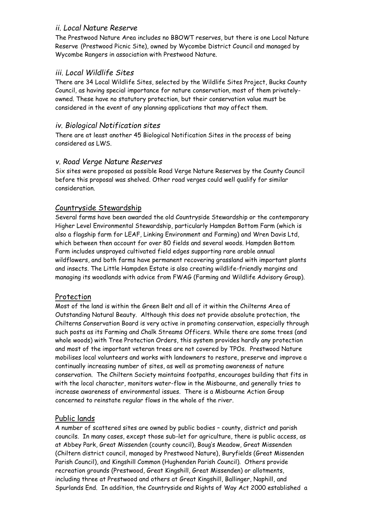# *ii. Local Nature Reserve*

The Prestwood Nature Area includes no BBOWT reserves, but there is one Local Nature Reserve (Prestwood Picnic Site), owned by Wycombe District Council and managed by Wycombe Rangers in association with Prestwood Nature.

# *iii. Local Wildlife Sites*

There are 34 Local Wildlife Sites, selected by the Wildlife Sites Project, Bucks County Council, as having special importance for nature conservation, most of them privatelyowned. These have no statutory protection, but their conservation value must be considered in the event of any planning applications that may affect them.

# *iv. Biological Notification sites*

There are at least another 45 Biological Notification Sites in the process of being considered as LWS.

# *v. Road Verge Nature Reserves*

Six sites were proposed as possible Road Verge Nature Reserves by the County Council before this proposal was shelved. Other road verges could well qualify for similar consideration.

### Countryside Stewardship

Several farms have been awarded the old Countryside Stewardship or the contemporary Higher Level Environmental Stewardship, particularly Hampden Bottom Farm (which is also a flagship farm for LEAF, Linking Environment and Farming) and Wren Davis Ltd, which between then account for over 80 fields and several woods. Hampden Bottom Farm includes unsprayed cultivated field edges supporting rare arable annual wildflowers, and both farms have permanent recovering grassland with important plants and insects. The Little Hampden Estate is also creating wildlife-friendly margins and managing its woodlands with advice from FWAG (Farming and Wildlife Advisory Group).

# Protection

Most of the land is within the Green Belt and all of it within the Chilterns Area of Outstanding Natural Beauty. Although this does not provide absolute protection, the Chilterns Conservation Board is very active in promoting conservation, especially through such posts as its Farming and Chalk Streams Officers. While there are some trees (and whole woods) with Tree Protection Orders, this system provides hardly any protection and most of the important veteran trees are not covered by TPOs. Prestwood Nature mobilises local volunteers and works with landowners to restore, preserve and improve a continually increasing number of sites, as well as promoting awareness of nature conservation. The Chiltern Society maintains footpaths, encourages building that fits in with the local character, monitors water-flow in the Misbourne, and generally tries to increase awareness of environmental issues. There is a Misbourne Action Group concerned to reinstate regular flows in the whole of the river.

# Public lands

A number of scattered sites are owned by public bodies – county, district and parish councils. In many cases, except those sub-let for agriculture, there is public access, as at Abbey Park, Great Missenden (county council), Boug's Meadow, Great Missenden (Chiltern district council, managed by Prestwood Nature), Buryfields (Great Missenden Parish Council), and Kingshill Common (Hughenden Parish Council). Others provide recreation grounds (Prestwood, Great Kingshill, Great Missenden) or allotments, including three at Prestwood and others at Great Kingshill, Ballinger, Naphill, and Spurlands End. In addition, the Countryside and Rights of Way Act 2000 established a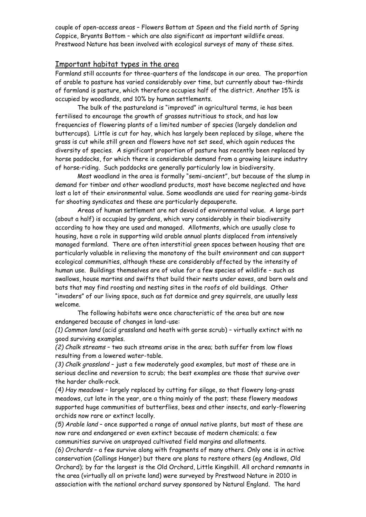couple of open-access areas – Flowers Bottom at Speen and the field north of Spring Coppice, Bryants Bottom – which are also significant as important wildlife areas. Prestwood Nature has been involved with ecological surveys of many of these sites.

#### Important habitat types in the area

Farmland still accounts for three-quarters of the landscape in our area. The proportion of arable to pasture has varied considerably over time, but currently about two-thirds of farmland is pasture, which therefore occupies half of the district. Another 15% is occupied by woodlands, and 10% by human settlements.

The bulk of the pastureland is "improved" in agricultural terms, ie has been fertilised to encourage the growth of grasses nutritious to stock, and has low frequencies of flowering plants of a limited number of species (largely dandelion and buttercups). Little is cut for hay, which has largely been replaced by silage, where the grass is cut while still green and flowers have not set seed, which again reduces the diversity of species. A significant proportion of pasture has recently been replaced by horse paddocks, for which there is considerable demand from a growing leisure industry of horse-riding. Such paddocks are generally particularly low in biodiversity.

Most woodland in the area is formally "semi-ancient", but because of the slump in demand for timber and other woodland products, most have become neglected and have lost a lot of their environmental value. Some woodlands are used for rearing game-birds for shooting syndicates and these are particularly depauperate.

Areas of human settlement are not devoid of environmental value. A large part (about a half) is occupied by gardens, which vary considerably in their biodiversity according to how they are used and managed. Allotments, which are usually close to housing, have a role in supporting wild arable annual plants displaced from intensively managed farmland. There are often interstitial green spaces between housing that are particularly valuable in relieving the monotony of the built environment and can support ecological communities, although these are considerably affected by the intensity of human use. Buildings themselves are of value for a few species of wildlife – such as swallows, house martins and swifts that build their nests under eaves, and barn owls and bats that may find roosting and nesting sites in the roofs of old buildings. Other "invaders" of our living space, such as fat dormice and grey squirrels, are usually less welcome.

The following habitats were once characteristic of the area but are now endangered because of changes in land-use:

*(1) Common land* (acid grassland and heath with gorse scrub) – virtually extinct with no good surviving examples.

*(2) Chalk streams* – two such streams arise in the area; both suffer from low flows resulting from a lowered water-table.

*(3) Chalk grassland* – just a few moderately good examples, but most of these are in serious decline and reversion to scrub; the best examples are those that survive over the harder chalk-rock.

*(4) Hay meadows* – largely replaced by cutting for silage, so that flowery long-grass meadows, cut late in the year, are a thing mainly of the past; these flowery meadows supported huge communities of butterflies, bees and other insects, and early-flowering orchids now rare or extinct locally.

*(5) Arable land* – once supported a range of annual native plants, but most of these are now rare and endangered or even extinct because of modern chemicals; a few communities survive on unsprayed cultivated field margins and allotments.

*(6) Orchards* – a few survive along with fragments of many others. Only one is in active conservation (Collings Hanger) but there are plans to restore others (eg Andlows, Old Orchard); by far the largest is the Old Orchard, Little Kingshill. All orchard remnants in the area (virtually all on private land) were surveyed by Prestwood Nature in 2010 in association with the national orchard survey sponsored by Natural England. The hard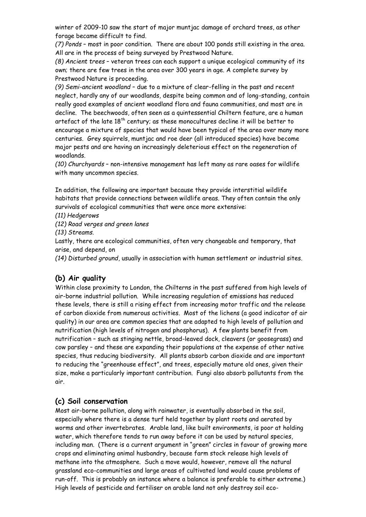winter of 2009-10 saw the start of major muntjac damage of orchard trees, as other forage became difficult to find.

*(7) Ponds* – most in poor condition. There are about 100 ponds still existing in the area. All are in the process of being surveyed by Prestwood Nature.

*(8) Ancient trees* – veteran trees can each support a unique ecological community of its own; there are few trees in the area over 300 years in age. A complete survey by Prestwood Nature is proceeding.

*(9) Semi-ancient woodland* – due to a mixture of clear-felling in the past and recent neglect, hardly any of our woodlands, despite being common and of long-standing, contain really good examples of ancient woodland flora and fauna communities, and most are in decline. The beechwoods, often seen as a quintessential Chiltern feature, are a human artefact of the late  $18<sup>th</sup>$  century; as these monocultures decline it will be better to encourage a mixture of species that would have been typical of the area over many more centuries. Grey squirrels, muntjac and roe deer (all introduced species) have become major pests and are having an increasingly deleterious effect on the regeneration of woodlands.

*(10) Churchyards* – non-intensive management has left many as rare oases for wildlife with many uncommon species.

In addition, the following are important because they provide interstitial wildlife habitats that provide connections between wildlife areas. They often contain the only survivals of ecological communities that were once more extensive:

*(11) Hedgerows* 

*(12) Road verges and green lanes*

*(13) Streams.*

Lastly, there are ecological communities, often very changeable and temporary, that arise, and depend, on

*(14) Disturbed ground*, usually in association with human settlement or industrial sites.

# **(b) Air quality**

Within close proximity to London, the Chilterns in the past suffered from high levels of air-borne industrial pollution. While increasing regulation of emissions has reduced these levels, there is still a rising effect from increasing motor traffic and the release of carbon dioxide from numerous activities. Most of the lichens (a good indicator of air quality) in our area are common species that are adapted to high levels of pollution and nutrification (high levels of nitrogen and phosphorus). A few plants benefit from nutrification – such as stinging nettle, broad-leaved dock, cleavers (or goosegrass) and cow parsley – and these are expanding their populations at the expense of other native species, thus reducing biodiversity. All plants absorb carbon dioxide and are important to reducing the "greenhouse effect", and trees, especially mature old ones, given their size, make a particularly important contribution. Fungi also absorb pollutants from the air.

### **(c) Soil conservation**

Most air-borne pollution, along with rainwater, is eventually absorbed in the soil, especially where there is a dense turf held together by plant roots and aerated by worms and other invertebrates. Arable land, like built environments, is poor at holding water, which therefore tends to run away before it can be used by natural species, including man. (There is a current argument in "green" circles in favour of growing more crops and eliminating animal husbandry, because farm stock release high levels of methane into the atmosphere. Such a move would, however, remove all the natural grassland eco-communities and large areas of cultivated land would cause problems of run-off. This is probably an instance where a balance is preferable to either extreme.) High levels of pesticide and fertiliser on arable land not only destroy soil eco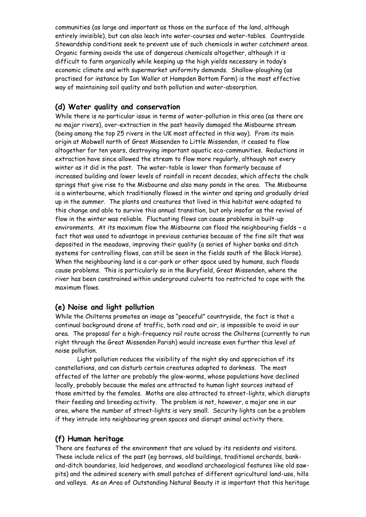communities (as large and important as those on the surface of the land, although entirely invisible), but can also leach into water-courses and water-tables. Countryside Stewardship conditions seek to prevent use of such chemicals in water catchment areas. Organic farming avoids the use of dangerous chemicals altogether, although it is difficult to farm organically while keeping up the high yields necessary in today's economic climate and with supermarket uniformity demands. Shallow-ploughing (as practised for instance by Ian Waller at Hampden Bottom Farm) is the most effective way of maintaining soil quality and both pollution and water-absorption.

### **(d) Water quality and conservation**

While there is no particular issue in terms of water-pollution in this area (as there are no major rivers), over-extraction in the past heavily damaged the Misbourne stream (being among the top 25 rivers in the UK most affected in this way). From its main origin at Mobwell north of Great Missenden to Little Missenden, it ceased to flow altogether for ten years, destroying important aquatic eco-communities. Reductions in extraction have since allowed the stream to flow more regularly, although not every winter as it did in the past. The water-table is lower than formerly because of increased building and lower levels of rainfall in recent decades, which affects the chalk springs that give rise to the Misbourne and also many ponds in the area. The Misbourne is a winterbourne, which traditionally flowed in the winter and spring and gradually dried up in the summer. The plants and creatures that lived in this habitat were adapted to this change and able to survive this annual transition, but only insofar as the revival of flow in the winter was reliable. Fluctuating flows can cause problems in built-up environments. At its maximum flow the Misbourne can flood the neighbouring fields – a fact that was used to advantage in previous centuries because of the fine silt that was deposited in the meadows, improving their quality (a series of higher banks and ditch systems for controlling flows, can still be seen in the fields south of the Black Horse). When the neighbouring land is a car-park or other space used by humans, such floods cause problems. This is particularly so in the Buryfield, Great Missenden, where the river has been constrained within underground culverts too restricted to cope with the maximum flows.

### **(e) Noise and light pollution**

While the Chilterns promotes an image as "peaceful" countryside, the fact is that a continual background drone of traffic, both road and air, is impossible to avoid in our area. The proposal for a high-frequency rail route across the Chilterns (currently to run right through the Great Missenden Parish) would increase even further this level of noise pollution.

Light pollution reduces the visibility of the night sky and appreciation of its constellations, and can disturb certain creatures adapted to darkness. The most affected of the latter are probably the glow-worms, whose populations have declined locally, probably because the males are attracted to human light sources instead of those emitted by the females. Moths are also attracted to street-lights, which disrupts their feeding and breeding activity. The problem is not, however, a major one in our area, where the number of street-lights is very small. Security lights can be a problem if they intrude into neighbouring green spaces and disrupt animal activity there.

# **(f) Human heritage**

There are features of the environment that are valued by its residents and visitors. These include relics of the past (eg barrows, old buildings, traditional orchards, bankand-ditch boundaries, laid hedgerows, and woodland archaeological features like old sawpits) and the admired scenery with small patches of different agricultural land-use, hills and valleys. As an Area of Outstanding Natural Beauty it is important that this heritage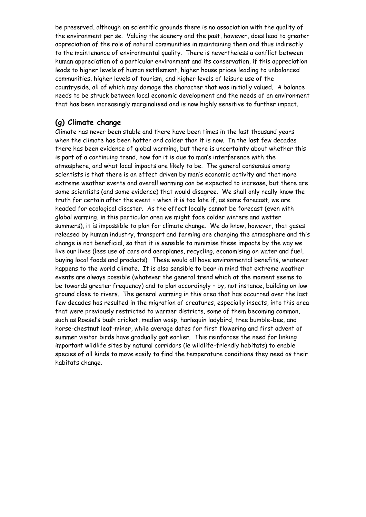be preserved, although on scientific grounds there is no association with the quality of the environment per se. Valuing the scenery and the past, however, does lead to greater appreciation of the role of natural communities in maintaining them and thus indirectly to the maintenance of environmental quality. There is nevertheless a conflict between human appreciation of a particular environment and its conservation, if this appreciation leads to higher levels of human settlement, higher house prices leading to unbalanced communities, higher levels of tourism, and higher levels of leisure use of the countryside, all of which may damage the character that was initially valued. A balance needs to be struck between local economic development and the needs of an environment that has been increasingly marginalised and is now highly sensitive to further impact.

### **(g) Climate change**

Climate has never been stable and there have been times in the last thousand years when the climate has been hotter and colder than it is now. In the last few decades there has been evidence of global warming, but there is uncertainty about whether this is part of a continuing trend, how far it is due to man's interference with the atmosphere, and what local impacts are likely to be. The general consensus among scientists is that there is an effect driven by man's economic activity and that more extreme weather events and overall warming can be expected to increase, but there are some scientists (and some evidence) that would disagree. We shall only really know the truth for certain after the event – when it is too late if, as some forecast, we are headed for ecological disaster. As the effect locally cannot be forecast (even with global warming, in this particular area we might face colder winters and wetter summers), it is impossible to plan for climate change. We do know, however, that gases released by human industry, transport and farming are changing the atmosphere and this change is not beneficial, so that it is sensible to minimise these impacts by the way we live our lives (less use of cars and aeroplanes, recycling, economising on water and fuel, buying local foods and products). These would all have environmental benefits, whatever happens to the world climate. It is also sensible to bear in mind that extreme weather events are always possible (whatever the general trend which at the moment seems to be towards greater frequency) and to plan accordingly – by, not instance, building on low ground close to rivers. The general warming in this area that has occurred over the last few decades has resulted in the migration of creatures, especially insects, into this area that were previously restricted to warmer districts, some of them becoming common, such as Roesel's bush cricket, median wasp, harlequin ladybird, tree bumble-bee, and horse-chestnut leaf-miner, while average dates for first flowering and first advent of summer visitor birds have gradually got earlier. This reinforces the need for linking important wildlife sites by natural corridors (ie wildlife-friendly habitats) to enable species of all kinds to move easily to find the temperature conditions they need as their habitats change.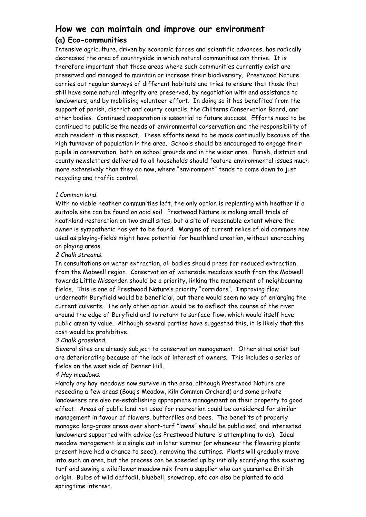# **How we can maintain and improve our environment**

### **(a) Eco-communities**

Intensive agriculture, driven by economic forces and scientific advances, has radically decreased the area of countryside in which natural communities can thrive. It is therefore important that those areas where such communities currently exist are preserved and managed to maintain or increase their biodiversity. Prestwood Nature carries out regular surveys of different habitats and tries to ensure that those that still have some natural integrity are preserved, by negotiation with and assistance to landowners, and by mobilising volunteer effort. In doing so it has benefited from the support of parish, district and county councils, the Chilterns Conservation Board, and other bodies. Continued cooperation is essential to future success. Efforts need to be continued to publicise the needs of environmental conservation and the responsibility of each resident in this respect. These efforts need to be made continually because of the high turnover of population in the area. Schools should be encouraged to engage their pupils in conservation, both on school grounds and in the wider area. Parish, district and county newsletters delivered to all households should feature environmental issues much more extensively than they do now, where "environment" tends to come down to just recycling and traffic control.

#### *1 Common land*.

With no viable heather communities left, the only option is replanting with heather if a suitable site can be found on acid soil. Prestwood Nature is making small trials of heathland restoration on two small sites, but a site of reasonable extent where the owner is sympathetic has yet to be found. Margins of current relics of old commons now used as playing-fields might have potential for heathland creation, without encroaching on playing areas.

#### *2 Chalk streams*.

In consultations on water extraction, all bodies should press for reduced extraction from the Mobwell region. Conservation of waterside meadows south from the Mobwell towards Little Missenden should be a priority, linking the management of neighbouring fields. This is one of Prestwood Nature's priority "corridors". Improving flow underneath Buryfield would be beneficial, but there would seem no way of enlarging the current culverts. The only other option would be to deflect the course of the river around the edge of Buryfield and to return to surface flow, which would itself have public amenity value. Although several parties have suggested this, it is likely that the cost would be prohibitive.

#### *3 Chalk grassland*.

Several sites are already subject to conservation management. Other sites exist but are deteriorating because of the lack of interest of owners. This includes a series of fields on the west side of Denner Hill.

#### *4 Hay meadows*.

Hardly any hay meadows now survive in the area, although Prestwood Nature are reseeding a few areas (Boug's Meadow, Kiln Common Orchard) and some private landowners are also re-establishing appropriate management on their property to good effect. Areas of public land not used for recreation could be considered for similar management in favour of flowers, butterflies and bees. The benefits of properly managed long-grass areas over short-turf "lawns" should be publicised, and interested landowners supported with advice (as Prestwood Nature is attempting to do). Ideal meadow management is a single cut in later summer (or whenever the flowering plants present have had a chance to seed), removing the cuttings. Plants will gradually move into such an area, but the process can be speeded up by initially scarifying the existing turf and sowing a wildflower meadow mix from a supplier who can guarantee British origin. Bulbs of wild daffodil, bluebell, snowdrop, etc can also be planted to add springtime interest.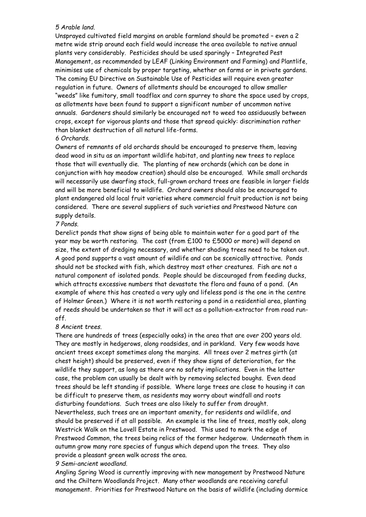#### *5 Arable land*.

Unsprayed cultivated field margins on arable farmland should be promoted – even a 2 metre wide strip around each field would increase the area available to native annual plants very considerably. Pesticides should be used sparingly – Integrated Pest Management, as recommended by LEAF (Linking Environment and Farming) and Plantlife, minimises use of chemicals by proper targeting, whether on farms or in private gardens. The coming EU Directive on Sustainable Use of Pesticides will require even greater regulation in future. Owners of allotments should be encouraged to allow smaller "weeds" like fumitory, small toadflax and corn spurrey to share the space used by crops, as allotments have been found to support a significant number of uncommon native annuals. Gardeners should similarly be encouraged not to weed too assiduously between crops, except for vigorous plants and those that spread quickly: discrimination rather than blanket destruction of all natural life-forms.

#### *6 Orchards*.

Owners of remnants of old orchards should be encouraged to preserve them, leaving dead wood in situ as an important wildlife habitat, and planting new trees to replace those that will eventually die. The planting of new orchards (which can be done in conjunction with hay meadow creation) should also be encouraged. While small orchards will necessarily use dwarfing stock, full-grown orchard trees are feasible in larger fields and will be more beneficial to wildlife. Orchard owners should also be encouraged to plant endangered old local fruit varieties where commercial fruit production is not being considered. There are several suppliers of such varieties and Prestwood Nature can supply details.

#### *7 Ponds*.

Derelict ponds that show signs of being able to maintain water for a good part of the year may be worth restoring. The cost (from £100 to £5000 or more) will depend on size, the extent of dredging necessary, and whether shading trees need to be taken out. A good pond supports a vast amount of wildlife and can be scenically attractive. Ponds should not be stocked with fish, which destroy most other creatures. Fish are not a natural component of isolated ponds. People should be discouraged from feeding ducks, which attracts excessive numbers that devastate the flora and fauna of a pond. (An example of where this has created a very ugly and lifeless pond is the one in the centre of Holmer Green.) Where it is not worth restoring a pond in a residential area, planting of reeds should be undertaken so that it will act as a pollution-extractor from road runoff.

#### *8 Ancient trees*.

There are hundreds of trees (especially oaks) in the area that are over 200 years old. They are mostly in hedgerows, along roadsides, and in parkland. Very few woods have ancient trees except sometimes along the margins. All trees over 2 metres girth (at chest height) should be preserved, even if they show signs of deterioration, for the wildlife they support, as long as there are no safety implications. Even in the latter case, the problem can usually be dealt with by removing selected boughs. Even dead trees should be left standing if possible. Where large trees are close to housing it can be difficult to preserve them, as residents may worry about windfall and roots disturbing foundations. Such trees are also likely to suffer from drought. Nevertheless, such trees are an important amenity, for residents and wildlife, and should be preserved if at all possible. An example is the line of trees, mostly oak, along Westrick Walk on the Lovell Estate in Prestwood. This used to mark the edge of Prestwood Common, the trees being relics of the former hedgerow. Underneath them in autumn grow many rare species of fungus which depend upon the trees. They also provide a pleasant green walk across the area.

#### *9 Semi*-*ancient woodland.*

Angling Spring Wood is currently improving with new management by Prestwood Nature and the Chiltern Woodlands Project. Many other woodlands are receiving careful management. Priorities for Prestwood Nature on the basis of wildlife (including dormice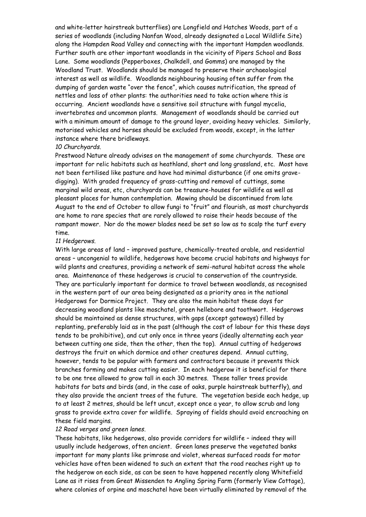and white-letter hairstreak butterflies) are Longfield and Hatches Woods, part of a series of woodlands (including Nanfan Wood, already designated a Local Wildlife Site) along the Hampden Road Valley and connecting with the important Hampden woodlands. Further south are other important woodlands in the vicinity of Pipers School and Boss Lane. Some woodlands (Pepperboxes, Chalkdell, and Gomms) are managed by the Woodland Trust. Woodlands should be managed to preserve their archaeological interest as well as wildlife. Woodlands neighbouring housing often suffer from the dumping of garden waste "over the fence", which causes nutrification, the spread of nettles and loss of other plants: the authorities need to take action where this is occurring. Ancient woodlands have a sensitive soil structure with fungal mycelia, invertebrates and uncommon plants. Management of woodlands should be carried out with a minimum amount of damage to the ground layer, avoiding heavy vehicles. Similarly, motorised vehicles and horses should be excluded from woods, except, in the latter instance where there bridleways.

#### *10 Churchyards*.

Prestwood Nature already advises on the management of some churchyards. These are important for relic habitats such as heathland, short and long grassland, etc. Most have not been fertilised like pasture and have had minimal disturbance (if one omits gravedigging). With graded frequency of grass-cutting and removal of cuttings, some marginal wild areas, etc, churchyards can be treasure-houses for wildlife as well as pleasant places for human contemplation. Mowing should be discontinued from late August to the end of October to allow fungi to "fruit" and flourish, as most churchyards are home to rare species that are rarely allowed to raise their heads because of the rampant mower. Nor do the mower blades need be set so low as to scalp the turf every time.

#### *11 Hedgerows*.

With large areas of land – improved pasture, chemically-treated arable, and residential areas – uncongenial to wildlife, hedgerows have become crucial habitats and highways for wild plants and creatures, providing a network of semi-natural habitat across the whole area. Maintenance of these hedgerows is crucial to conservation of the countryside. They are particularly important for dormice to travel between woodlands, as recognised in the western part of our area being designated as a priority area in the national Hedgerows for Dormice Project. They are also the main habitat these days for decreasing woodland plants like moschatel, green hellebore and toothwort. Hedgerows should be maintained as dense structures, with gaps (except gateways) filled by replanting, preferably laid as in the past (although the cost of labour for this these days tends to be prohibitive), and cut only once in three years (ideally alternating each year between cutting one side, then the other, then the top). Annual cutting of hedgerows destroys the fruit on which dormice and other creatures depend. Annual cutting, however, tends to be popular with farmers and contractors because it prevents thick branches forming and makes cutting easier. In each hedgerow it is beneficial for there to be one tree allowed to grow tall in each 30 metres. These taller trees provide habitats for bats and birds (and, in the case of oaks, purple hairstreak butterfly), and they also provide the ancient trees of the future. The vegetation beside each hedge, up to at least 2 metres, should be left uncut, except once a year, to allow scrub and long grass to provide extra cover for wildlife. Spraying of fields should avoid encroaching on these field margins.

#### *12 Road verges and green lanes*.

These habitats, like hedgerows, also provide corridors for wildlife – indeed they will usually include hedgerows, often ancient. Green lanes preserve the vegetated banks important for many plants like primrose and violet, whereas surfaced roads for motor vehicles have often been widened to such an extent that the road reaches right up to the hedgerow on each side, as can be seen to have happened recently along Whitefield Lane as it rises from Great Missenden to Angling Spring Farm (formerly View Cottage), where colonies of orpine and moschatel have been virtually eliminated by removal of the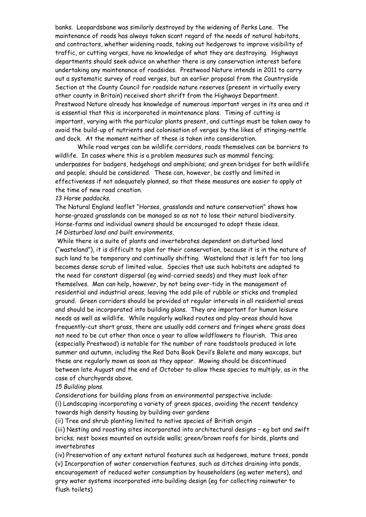banks. Leopardsbane was similarly destroyed by the widening of Perks Lane. The maintenance of roads has always taken scant regard of the needs of natural habitats, and contractors, whether widening roads, taking out hedgerows to improve visibility of traffic, or cutting verges, have no knowledge of what they are destroying. Highways departments should seek advice on whether there is any conservation interest before undertaking any maintenance of roadsides. Prestwood Nature intends in 2011 to carry out a systematic survey of road verges, but an earlier proposal from the Countryside Section at the County Council for roadside nature reserves (present in virtually every other county in Britain) received short shrift from the Highways Department. Prestwood Nature already has knowledge of numerous important verges in its area and it is essential that this is incorporated in maintenance plans. Timing of cutting is important, varying with the particular plants present, and cuttings must be taken away to avoid the build-up of nutrients and colonisation of verges by the likes of stinging-nettle and dock. At the moment neither of these is taken into consideration.

While road verges can be wildlife corridors, roads themselves can be barriers to wildlife. In cases where this is a problem measures such as mammal fencing; underpasses for badgers, hedgehogs and amphibians; and green bridges for both wildlife and people; should be considered. These can, however, be costly and limited in effectiveness if not adequately planned, so that these measures are easier to apply at the time of new road creation.

#### *13 Horse paddocks.*

The Natural England leaflet "Horses, grasslands and nature conservation" shows how horse-grazed grasslands can be managed so as not to lose their natural biodiversity. Horse-farms and individual owners should be encouraged to adopt these ideas. *14 Disturbed land and built environments*.

While there is a suite of plants and invertebrates dependent on disturbed land ("wasteland"), it is difficult to plan for their conservation, because it is in the nature of such land to be temporary and continually shifting. Wasteland that is left for too long becomes dense scrub of limited value. Species that use such habitats are adapted to the need for constant dispersal (eg wind-carried seeds) and they must look after themselves. Man can help, however, by not being over-tidy in the management of residential and industrial areas, leaving the odd pile of rubble or sticks and trampled ground. Green corridors should be provided at regular intervals in all residential areas and should be incorporated into building plans. They are important for human leisure needs as well as wildlife. While regularly walked routes and play-areas should have frequently-cut short grass, there are usually odd corners and fringes where grass does not need to be cut other than once a year to allow wildflowers to flourish. This area (especially Prestwood) is notable for the number of rare toadstools produced in late summer and autumn, including the Red Data Book Devil's Bolete and many waxcaps, but these are regularly mown as soon as they appear. Mowing should be discontinued between late August and the end of October to allow these species to multiply, as in the case of churchyards above.

#### *15 Building plans.*

Considerations for building plans from an environmental perspective include: (i) Landscaping incorporating a variety of green spaces, avoiding the recent tendency towards high density housing by building over gardens

(ii) Tree and shrub planting limited to native species of British origin

(iii) Nesting and roosting sites incorporated into architectural designs – eg bat and swift bricks; nest boxes mounted on outside walls; green/brown roofs for birds, plants and invertebrates

(iv) Preservation of any extant natural features such as hedgerows, mature trees, ponds (v) Incorporation of water conservation features, such as ditches draining into ponds, encouragement of reduced water consumption by householders (eg water meters), and grey water systems incorporated into building design (eg for collecting rainwater to flush toilets)